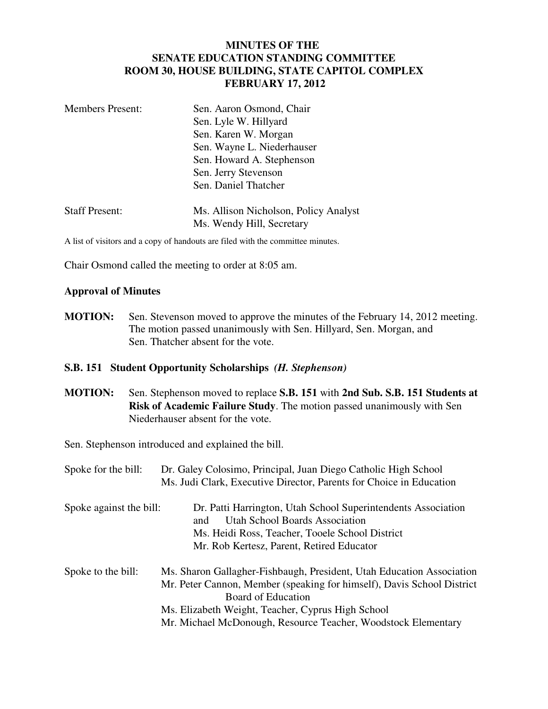# **MINUTES OF THE SENATE EDUCATION STANDING COMMITTEE ROOM 30, HOUSE BUILDING, STATE CAPITOL COMPLEX FEBRUARY 17, 2012**

| <b>Members Present:</b> | Sen. Aaron Osmond, Chair              |
|-------------------------|---------------------------------------|
|                         | Sen. Lyle W. Hillyard                 |
|                         | Sen. Karen W. Morgan                  |
|                         | Sen. Wayne L. Niederhauser            |
|                         | Sen. Howard A. Stephenson             |
|                         | Sen. Jerry Stevenson                  |
|                         | Sen. Daniel Thatcher                  |
| <b>Staff Present:</b>   | Ms. Allison Nicholson, Policy Analyst |
|                         | Ms. Wendy Hill, Secretary             |

A list of visitors and a copy of handouts are filed with the committee minutes.

Chair Osmond called the meeting to order at 8:05 am.

#### **Approval of Minutes**

**MOTION:** Sen. Stevenson moved to approve the minutes of the February 14, 2012 meeting. The motion passed unanimously with Sen. Hillyard, Sen. Morgan, and Sen. Thatcher absent for the vote.

#### **S.B. 151 Student Opportunity Scholarships** *(H. Stephenson)*

**MOTION:** Sen. Stephenson moved to replace **S.B. 151** with **2nd Sub. S.B. 151 Students at Risk of Academic Failure Study**. The motion passed unanimously with Sen Niederhauser absent for the vote.

Sen. Stephenson introduced and explained the bill.

| Spoke for the bill:     | Dr. Galey Colosimo, Principal, Juan Diego Catholic High School         |
|-------------------------|------------------------------------------------------------------------|
|                         | Ms. Judi Clark, Executive Director, Parents for Choice in Education    |
| Spoke against the bill: | Dr. Patti Harrington, Utah School Superintendents Association          |
|                         | <b>Utah School Boards Association</b><br>and                           |
|                         | Ms. Heidi Ross, Teacher, Tooele School District                        |
|                         | Mr. Rob Kertesz, Parent, Retired Educator                              |
| Spoke to the bill:      | Ms. Sharon Gallagher-Fishbaugh, President, Utah Education Association  |
|                         | Mr. Peter Cannon, Member (speaking for himself), Davis School District |
|                         | Board of Education                                                     |
|                         | Ms. Elizabeth Weight, Teacher, Cyprus High School                      |
|                         | Mr. Michael McDonough, Resource Teacher, Woodstock Elementary          |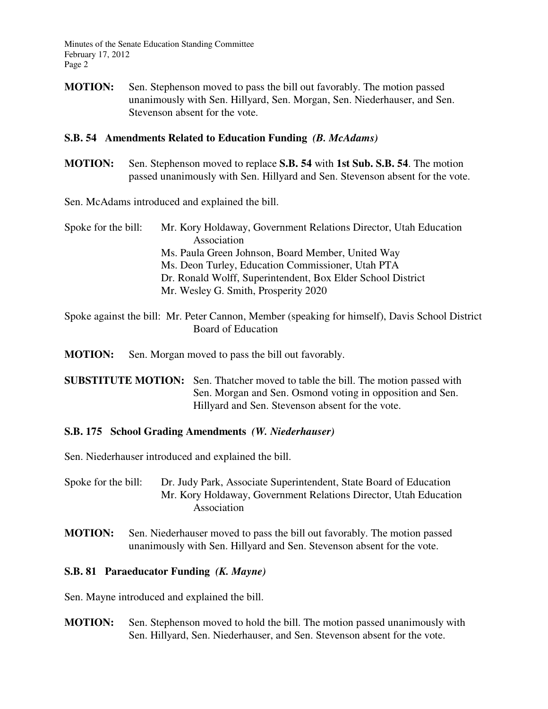Minutes of the Senate Education Standing Committee February 17, 2012 Page 2

**MOTION:** Sen. Stephenson moved to pass the bill out favorably. The motion passed unanimously with Sen. Hillyard, Sen. Morgan, Sen. Niederhauser, and Sen. Stevenson absent for the vote.

### **S.B. 54 Amendments Related to Education Funding** *(B. McAdams)*

**MOTION:** Sen. Stephenson moved to replace **S.B. 54** with **1st Sub. S.B. 54**. The motion passed unanimously with Sen. Hillyard and Sen. Stevenson absent for the vote.

Sen. McAdams introduced and explained the bill.

- Spoke for the bill: Mr. Kory Holdaway, Government Relations Director, Utah Education Association Ms. Paula Green Johnson, Board Member, United Way Ms. Deon Turley, Education Commissioner, Utah PTA Dr. Ronald Wolff, Superintendent, Box Elder School District Mr. Wesley G. Smith, Prosperity 2020
- Spoke against the bill: Mr. Peter Cannon, Member (speaking for himself), Davis School District Board of Education

**MOTION:** Sen. Morgan moved to pass the bill out favorably.

**SUBSTITUTE MOTION:** Sen. Thatcher moved to table the bill. The motion passed with Sen. Morgan and Sen. Osmond voting in opposition and Sen. Hillyard and Sen. Stevenson absent for the vote.

### **S.B. 175 School Grading Amendments** *(W. Niederhauser)*

Sen. Niederhauser introduced and explained the bill.

- Spoke for the bill: Dr. Judy Park, Associate Superintendent, State Board of Education Mr. Kory Holdaway, Government Relations Director, Utah Education Association
- **MOTION:** Sen. Niederhauser moved to pass the bill out favorably. The motion passed unanimously with Sen. Hillyard and Sen. Stevenson absent for the vote.

# **S.B. 81 Paraeducator Funding** *(K. Mayne)*

Sen. Mayne introduced and explained the bill.

**MOTION:** Sen. Stephenson moved to hold the bill. The motion passed unanimously with Sen. Hillyard, Sen. Niederhauser, and Sen. Stevenson absent for the vote.